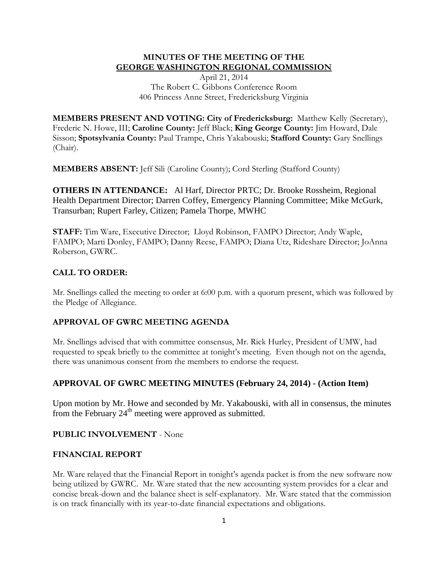## **MINUTES OF THE MEETING OF THE GEORGE WASHINGTON REGIONAL COMMISSION**

April 21, 2014 The Robert C. Gibbons Conference Room 406 Princess Anne Street, Fredericksburg Virginia

**MEMBERS PRESENT AND VOTING: City of Fredericksburg:** Matthew Kelly (Secretary), Frederic N. Howe, III; **Caroline County:** Jeff Black; **King George County:** Jim Howard, Dale Sisson; **Spotsylvania County:** Paul Trampe, Chris Yakabouski; **Stafford County:** Gary Snellings (Chair).

**MEMBERS ABSENT:** Jeff Sili (Caroline County); Cord Sterling (Stafford County)

**OTHERS IN ATTENDANCE:** Al Harf, Director PRTC; Dr. Brooke Rossheim, Regional Health Department Director; Darren Coffey, Emergency Planning Committee; Mike McGurk, Transurban; Rupert Farley, Citizen; Pamela Thorpe, MWHC

**STAFF:** Tim Ware, Executive Director; Lloyd Robinson, FAMPO Director; Andy Waple, FAMPO; Marti Donley, FAMPO; Danny Reese, FAMPO; Diana Utz, Rideshare Director; JoAnna Roberson, GWRC.

#### **CALL TO ORDER:**

Mr. Snellings called the meeting to order at 6:00 p.m. with a quorum present, which was followed by the Pledge of Allegiance.

#### **APPROVAL OF GWRC MEETING AGENDA**

Mr. Snellings advised that with committee consensus, Mr. Rick Hurley, President of UMW, had requested to speak briefly to the committee at tonight's meeting. Even though not on the agenda, there was unanimous consent from the members to endorse the request.

## **APPROVAL OF GWRC MEETING MINUTES (February 24, 2014) - (Action Item)**

Upon motion by Mr. Howe and seconded by Mr. Yakabouski, with all in consensus, the minutes from the February  $24<sup>th</sup>$  meeting were approved as submitted.

#### **PUBLIC INVOLVEMENT** - None

### **FINANCIAL REPORT**

Mr. Ware relayed that the Financial Report in tonight's agenda packet is from the new software now being utilized by GWRC. Mr. Ware stated that the new accounting system provides for a clear and concise break-down and the balance sheet is self-explanatory. Mr. Ware stated that the commission is on track financially with its year-to-date financial expectations and obligations.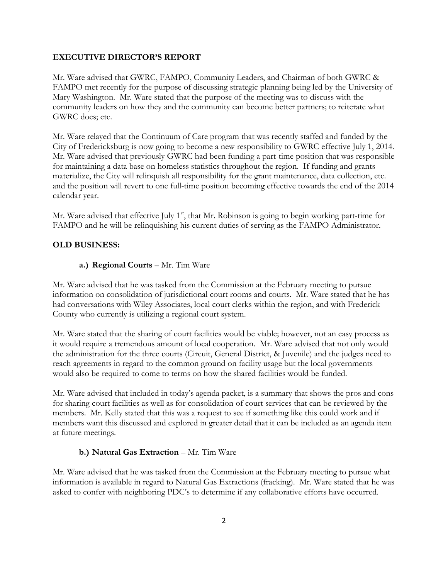#### **EXECUTIVE DIRECTOR'S REPORT**

Mr. Ware advised that GWRC, FAMPO, Community Leaders, and Chairman of both GWRC & FAMPO met recently for the purpose of discussing strategic planning being led by the University of Mary Washington. Mr. Ware stated that the purpose of the meeting was to discuss with the community leaders on how they and the community can become better partners; to reiterate what GWRC does; etc.

Mr. Ware relayed that the Continuum of Care program that was recently staffed and funded by the City of Fredericksburg is now going to become a new responsibility to GWRC effective July 1, 2014. Mr. Ware advised that previously GWRC had been funding a part-time position that was responsible for maintaining a data base on homeless statistics throughout the region. If funding and grants materialize, the City will relinquish all responsibility for the grant maintenance, data collection, etc. and the position will revert to one full-time position becoming effective towards the end of the 2014 calendar year.

Mr. Ware advised that effective July  $1<sup>st</sup>$ , that Mr. Robinson is going to begin working part-time for FAMPO and he will be relinquishing his current duties of serving as the FAMPO Administrator.

#### **OLD BUSINESS:**

#### **a.) Regional Courts** – Mr. Tim Ware

Mr. Ware advised that he was tasked from the Commission at the February meeting to pursue information on consolidation of jurisdictional court rooms and courts. Mr. Ware stated that he has had conversations with Wiley Associates, local court clerks within the region, and with Frederick County who currently is utilizing a regional court system.

Mr. Ware stated that the sharing of court facilities would be viable; however, not an easy process as it would require a tremendous amount of local cooperation. Mr. Ware advised that not only would the administration for the three courts (Circuit, General District, & Juvenile) and the judges need to reach agreements in regard to the common ground on facility usage but the local governments would also be required to come to terms on how the shared facilities would be funded.

Mr. Ware advised that included in today's agenda packet, is a summary that shows the pros and cons for sharing court facilities as well as for consolidation of court services that can be reviewed by the members. Mr. Kelly stated that this was a request to see if something like this could work and if members want this discussed and explored in greater detail that it can be included as an agenda item at future meetings.

#### **b.) Natural Gas Extraction** – Mr. Tim Ware

Mr. Ware advised that he was tasked from the Commission at the February meeting to pursue what information is available in regard to Natural Gas Extractions (fracking). Mr. Ware stated that he was asked to confer with neighboring PDC's to determine if any collaborative efforts have occurred.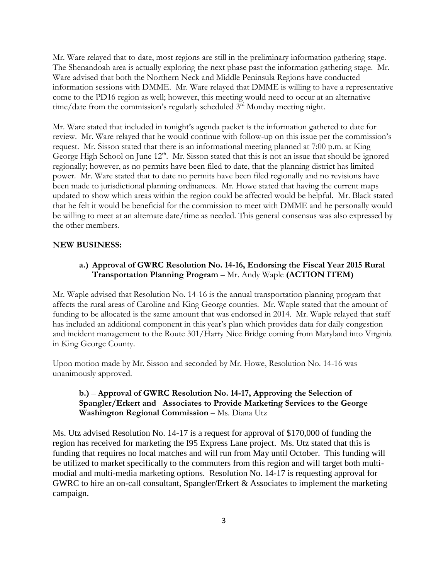Mr. Ware relayed that to date, most regions are still in the preliminary information gathering stage. The Shenandoah area is actually exploring the next phase past the information gathering stage. Mr. Ware advised that both the Northern Neck and Middle Peninsula Regions have conducted information sessions with DMME. Mr. Ware relayed that DMME is willing to have a representative come to the PD16 region as well; however, this meeting would need to occur at an alternative time/date from the commission's regularly scheduled  $3<sup>rd</sup>$  Monday meeting night.

Mr. Ware stated that included in tonight's agenda packet is the information gathered to date for review. Mr. Ware relayed that he would continue with follow-up on this issue per the commission's request. Mr. Sisson stated that there is an informational meeting planned at 7:00 p.m. at King George High School on June  $12<sup>th</sup>$ . Mr. Sisson stated that this is not an issue that should be ignored regionally; however, as no permits have been filed to date, that the planning district has limited power. Mr. Ware stated that to date no permits have been filed regionally and no revisions have been made to jurisdictional planning ordinances. Mr. Howe stated that having the current maps updated to show which areas within the region could be affected would be helpful. Mr. Black stated that he felt it would be beneficial for the commission to meet with DMME and he personally would be willing to meet at an alternate date/time as needed. This general consensus was also expressed by the other members.

#### **NEW BUSINESS:**

## **a.) Approval of GWRC Resolution No. 14-16, Endorsing the Fiscal Year 2015 Rural Transportation Planning Program** – Mr. Andy Waple **(ACTION ITEM)**

Mr. Waple advised that Resolution No. 14-16 is the annual transportation planning program that affects the rural areas of Caroline and King George counties. Mr. Waple stated that the amount of funding to be allocated is the same amount that was endorsed in 2014. Mr. Waple relayed that staff has included an additional component in this year's plan which provides data for daily congestion and incident management to the Route 301/Harry Nice Bridge coming from Maryland into Virginia in King George County.

Upon motion made by Mr. Sisson and seconded by Mr. Howe, Resolution No. 14-16 was unanimously approved.

### **b.)** – **Approval of GWRC Resolution No. 14-17, Approving the Selection of Spangler/Erkert and Associates to Provide Marketing Services to the George Washington Regional Commission** – Ms. Diana Utz

Ms. Utz advised Resolution No. 14-17 is a request for approval of \$170,000 of funding the region has received for marketing the I95 Express Lane project. Ms. Utz stated that this is funding that requires no local matches and will run from May until October. This funding will be utilized to market specifically to the commuters from this region and will target both multimodial and multi-media marketing options. Resolution No. 14-17 is requesting approval for GWRC to hire an on-call consultant, Spangler/Erkert & Associates to implement the marketing campaign.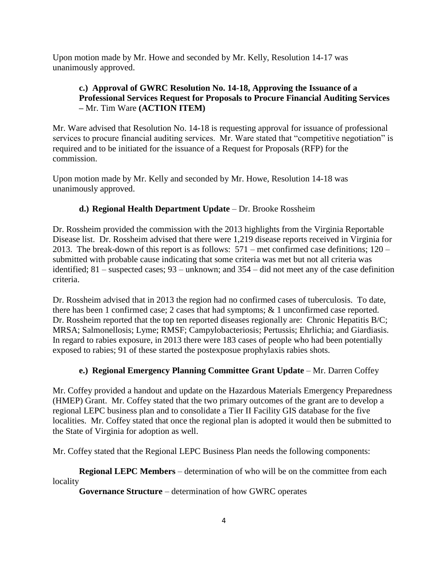Upon motion made by Mr. Howe and seconded by Mr. Kelly, Resolution 14-17 was unanimously approved.

## **c.) Approval of GWRC Resolution No. 14-18, Approving the Issuance of a Professional Services Request for Proposals to Procure Financial Auditing Services –** Mr. Tim Ware **(ACTION ITEM)**

Mr. Ware advised that Resolution No. 14-18 is requesting approval for issuance of professional services to procure financial auditing services. Mr. Ware stated that "competitive negotiation" is required and to be initiated for the issuance of a Request for Proposals (RFP) for the commission.

Upon motion made by Mr. Kelly and seconded by Mr. Howe, Resolution 14-18 was unanimously approved.

# **d.) Regional Health Department Update – Dr. Brooke Rossheim**

Dr. Rossheim provided the commission with the 2013 highlights from the Virginia Reportable Disease list. Dr. Rossheim advised that there were 1,219 disease reports received in Virginia for 2013. The break-down of this report is as follows: 571 – met confirmed case definitions; 120 – submitted with probable cause indicating that some criteria was met but not all criteria was identified; 81 – suspected cases; 93 – unknown; and 354 – did not meet any of the case definition criteria.

Dr. Rossheim advised that in 2013 the region had no confirmed cases of tuberculosis. To date, there has been 1 confirmed case; 2 cases that had symptoms; & 1 unconfirmed case reported. Dr. Rossheim reported that the top ten reported diseases regionally are: Chronic Hepatitis B/C; MRSA; Salmonellosis; Lyme; RMSF; Campylobacteriosis; Pertussis; Ehrlichia; and Giardiasis. In regard to rabies exposure, in 2013 there were 183 cases of people who had been potentially exposed to rabies; 91 of these started the postexposue prophylaxis rabies shots.

# **e.) Regional Emergency Planning Committee Grant Update** – Mr. Darren Coffey

Mr. Coffey provided a handout and update on the Hazardous Materials Emergency Preparedness (HMEP) Grant. Mr. Coffey stated that the two primary outcomes of the grant are to develop a regional LEPC business plan and to consolidate a Tier II Facility GIS database for the five localities. Mr. Coffey stated that once the regional plan is adopted it would then be submitted to the State of Virginia for adoption as well.

Mr. Coffey stated that the Regional LEPC Business Plan needs the following components:

**Regional LEPC Members** – determination of who will be on the committee from each locality

**Governance Structure** – determination of how GWRC operates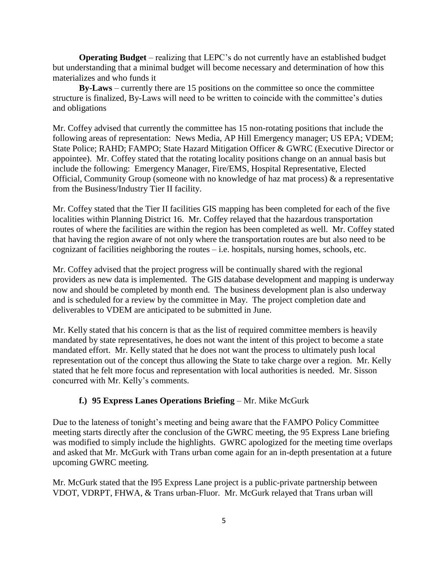**Operating Budget** – realizing that LEPC's do not currently have an established budget but understanding that a minimal budget will become necessary and determination of how this materializes and who funds it

**By-Laws** – currently there are 15 positions on the committee so once the committee structure is finalized, By-Laws will need to be written to coincide with the committee's duties and obligations

Mr. Coffey advised that currently the committee has 15 non-rotating positions that include the following areas of representation: News Media, AP Hill Emergency manager; US EPA; VDEM; State Police; RAHD; FAMPO; State Hazard Mitigation Officer & GWRC (Executive Director or appointee). Mr. Coffey stated that the rotating locality positions change on an annual basis but include the following: Emergency Manager, Fire/EMS, Hospital Representative, Elected Official, Community Group (someone with no knowledge of haz mat process) & a representative from the Business/Industry Tier II facility.

Mr. Coffey stated that the Tier II facilities GIS mapping has been completed for each of the five localities within Planning District 16. Mr. Coffey relayed that the hazardous transportation routes of where the facilities are within the region has been completed as well. Mr. Coffey stated that having the region aware of not only where the transportation routes are but also need to be cognizant of facilities neighboring the routes – i.e. hospitals, nursing homes, schools, etc.

Mr. Coffey advised that the project progress will be continually shared with the regional providers as new data is implemented. The GIS database development and mapping is underway now and should be completed by month end. The business development plan is also underway and is scheduled for a review by the committee in May. The project completion date and deliverables to VDEM are anticipated to be submitted in June.

Mr. Kelly stated that his concern is that as the list of required committee members is heavily mandated by state representatives, he does not want the intent of this project to become a state mandated effort. Mr. Kelly stated that he does not want the process to ultimately push local representation out of the concept thus allowing the State to take charge over a region. Mr. Kelly stated that he felt more focus and representation with local authorities is needed. Mr. Sisson concurred with Mr. Kelly's comments.

## **f.)** 95 Express Lanes Operations Briefing – Mr. Mike McGurk

Due to the lateness of tonight's meeting and being aware that the FAMPO Policy Committee meeting starts directly after the conclusion of the GWRC meeting, the 95 Express Lane briefing was modified to simply include the highlights. GWRC apologized for the meeting time overlaps and asked that Mr. McGurk with Trans urban come again for an in-depth presentation at a future upcoming GWRC meeting.

Mr. McGurk stated that the I95 Express Lane project is a public-private partnership between VDOT, VDRPT, FHWA, & Trans urban-Fluor. Mr. McGurk relayed that Trans urban will